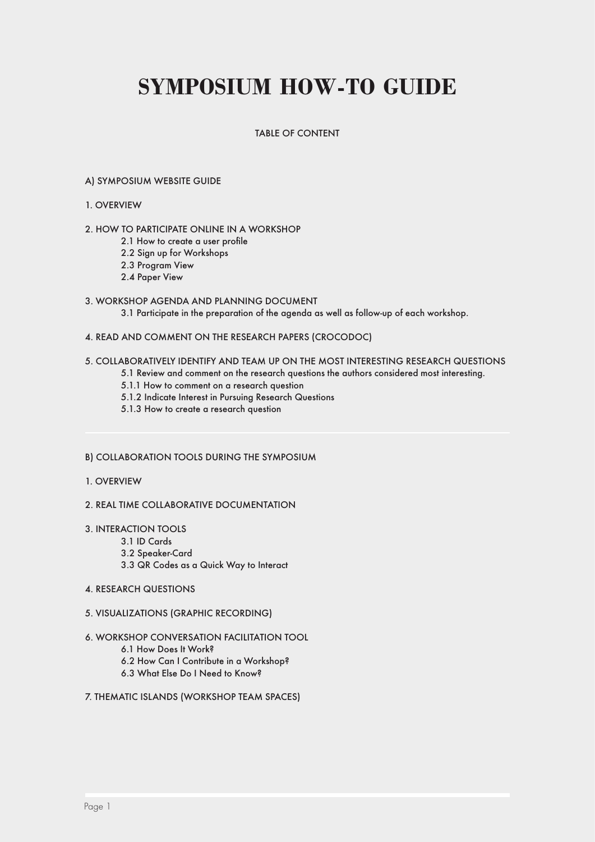# **Symposium How-To Guide**

#### Table of Content

#### A) Symposium Website Guide

#### 1. Overview

#### 2. How to participate online in a workshop

- 2.1 How to create a user profile
- 2.2 Sign up for Workshops
- 2.3 Program View
- 2.4 Paper View

#### 3. Workshop Agenda and Planning Document

3.1 Participate in the preparation of the agenda as well as follow-up of each workshop.

#### 4. Read and Comment on the Research Papers (Crocodoc)

#### 5. Collaboratively Identify and Team Up on the Most Interesting Research Questions

- 5.1 Review and comment on the research questions the authors considered most interesting.
- 5.1.1 How to comment on a research question
- 5.1.2 Indicate Interest in Pursuing Research Questions
- 5.1.3 How to create a research question

#### B) Collaboration Tools during the Symposium

- 1. Overview
- 2. Real Time Collaborative Documentation
- 3. Interaction Tools
	- 3.1 ID Cards
		- 3.2 Speaker-Card
		- 3.3 QR Codes as a Quick Way to Interact
- 4. Research Questions
- 5. Visualizations (Graphic Recording)
- 6. Workshop Conversation Facilitation Tool
	- 6.1 How Does It Work?
	- 6.2 How Can I Contribute in a Workshop?
	- 6.3 What Else Do I Need to Know?
- 7. Thematic Islands (Workshop Team Spaces)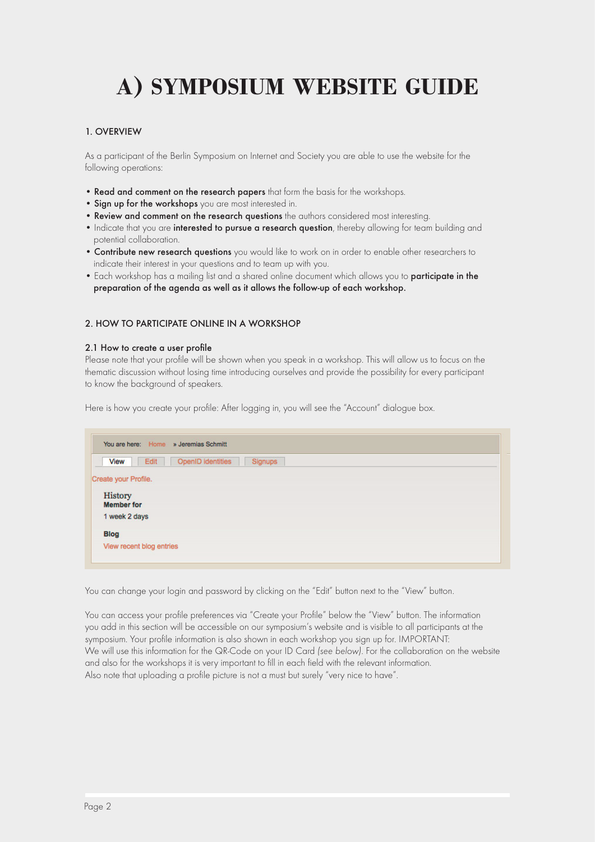# **A) Symposium Website Guide**

#### 1. Overview

As a participant of the Berlin Symposium on Internet and Society you are able to use the website for the following operations:

- Read and comment on the research papers that form the basis for the workshops.
- Sign up for the workshops you are most interested in.
- Review and comment on the research questions the authors considered most interesting.
- Indicate that you are interested to pursue a research question, thereby allowing for team building and potential collaboration.
- **Contribute new research questions** you would like to work on in order to enable other researchers to indicate their interest in your questions and to team up with you.
- Each workshop has a mailing list and a shared online document which allows you to participate in the preparation of the agenda as well as it allows the follow-up of each workshop.

#### 2. How to participate online in a workshop

#### 2.1 How to create a user profile

Please note that your profile will be shown when you speak in a workshop. This will allow us to focus on the thematic discussion without losing time introducing ourselves and provide the possibility for every participant to know the background of speakers.

Here is how you create your profile: After logging in, you will see the "Account" dialogue box.

|                          | You are here: Home » Jeremias Schmitt |         |  |
|--------------------------|---------------------------------------|---------|--|
| <b>View</b>              | OpenID identities<br>Edit             | Signups |  |
| Create your Profile.     |                                       |         |  |
| History                  |                                       |         |  |
| <b>Member for</b>        |                                       |         |  |
| 1 week 2 days            |                                       |         |  |
| <b>Blog</b>              |                                       |         |  |
| View recent blog entries |                                       |         |  |

You can change your login and password by clicking on the "Edit" button next to the "View" button.

You can access your profile preferences via "Create your Profile" below the "View" button. The information you add in this section will be accessible on our symposium's website and is visible to all participants at the symposium. Your profile information is also shown in each workshop you sign up for. IMPORTANT: We will use this information for the QR-Code on your ID Card *(see below)*. For the collaboration on the website and also for the workshops it is very important to fill in each field with the relevant information. Also note that uploading a profile picture is not a must but surely "very nice to have".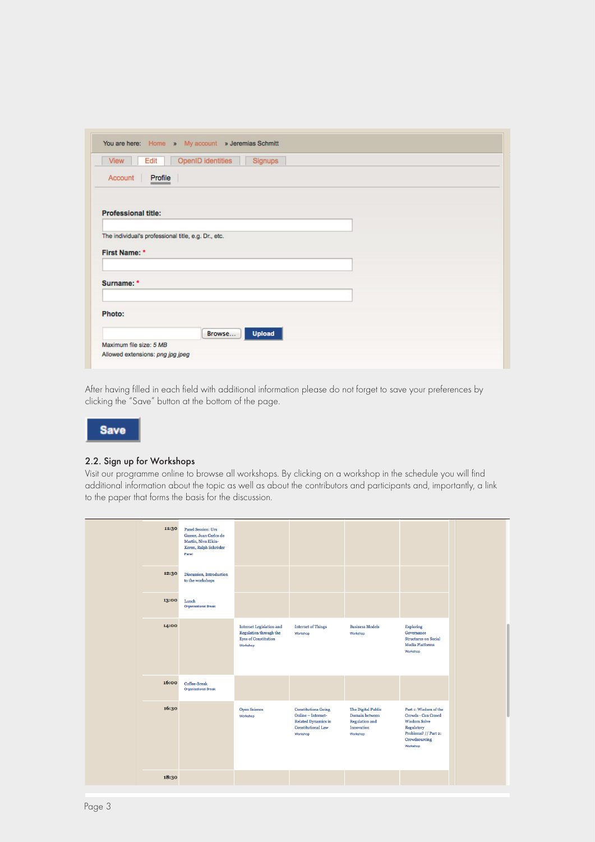|                                                     | You are here: Home » My account » Jeremias Schmitt |
|-----------------------------------------------------|----------------------------------------------------|
| View<br>Edit                                        | <b>OpenID</b> identities<br>Signups                |
| Account<br>Profile                                  |                                                    |
|                                                     |                                                    |
| <b>Professional title:</b>                          |                                                    |
|                                                     |                                                    |
| The individual's professional title, e.g. Dr., etc. |                                                    |
|                                                     |                                                    |
| First Name: *                                       |                                                    |
|                                                     |                                                    |
| Surname: *                                          |                                                    |
|                                                     |                                                    |
|                                                     |                                                    |
| Photo:                                              |                                                    |
|                                                     | <b>Upload</b><br>Browse                            |
| Maximum file size: 5 MB                             |                                                    |

After having filled in each field with additional information please do not forget to save your preferences by clicking the "Save" button at the bottom of the page.



#### 2.2. Sign up for Workshops

Visit our programme online to browse all workshops. By clicking on a workshop in the schedule you will find additional information about the topic as well as about the contributors and participants and, importantly, a link to the paper that forms the basis for the discussion.

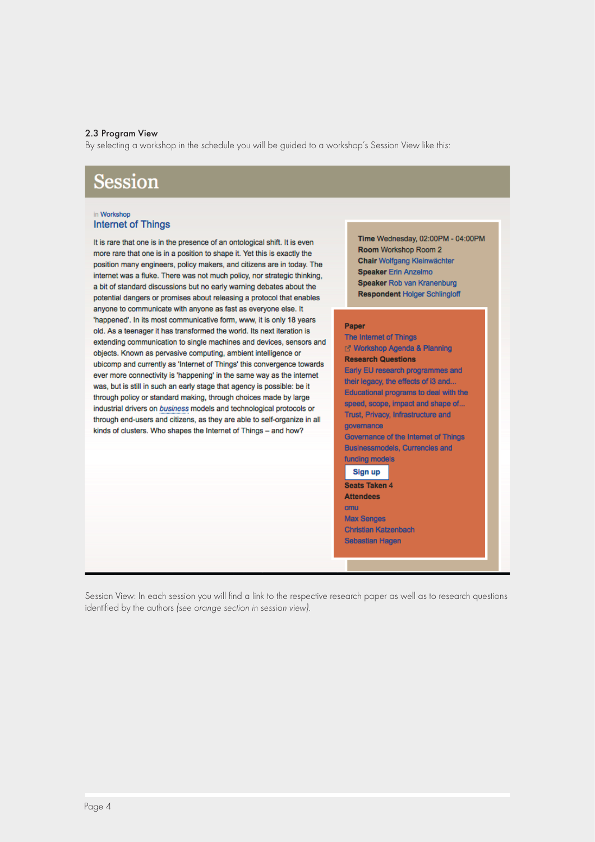#### 2.3 Program View

By selecting a workshop in the schedule you will be guided to a workshop's Session View like this:

### **Session**

#### in Workshop **Internet of Things**

It is rare that one is in the presence of an ontological shift. It is even more rare that one is in a position to shape it. Yet this is exactly the position many engineers, policy makers, and citizens are in today. The internet was a fluke. There was not much policy, nor strategic thinking, a bit of standard discussions but no early warning debates about the potential dangers or promises about releasing a protocol that enables anyone to communicate with anyone as fast as everyone else. It 'happened'. In its most communicative form, www, it is only 18 years old. As a teenager it has transformed the world. Its next iteration is extending communication to single machines and devices, sensors and objects. Known as pervasive computing, ambient intelligence or ubicomp and currently as 'Internet of Things' this convergence towards ever more connectivity is 'happening' in the same way as the internet was, but is still in such an early stage that agency is possible: be it through policy or standard making, through choices made by large industrial drivers on business models and technological protocols or through end-users and citizens, as they are able to self-organize in all kinds of clusters. Who shapes the Internet of Things - and how?

Time Wednesday, 02:00PM - 04:00PM Room Workshop Room 2 Chair Wolfgang Kleinwächter **Speaker Erin Anzelmo** Speaker Rob van Kranenburg **Respondent Holger Schlingloff** 

#### Paper

The Internet of Things r Workshop Agenda & Planning **Research Questions** Early EU research programmes and their legacy, the effects of i3 and.. Educational programs to deal with the speed, scope, impact and shape of.. Trust, Privacy, Infrastructure and governance Governance of the Internet of Things Businessmodels, Currencies and funding models Sign up Seats Taken 4 **Attendees** cmu **Max Senges** Christian Katzenbach Sebastian Hagen

Session View: In each session you will find a link to the respective research paper as well as to research questions identified by the authors *(see orange section in session view)*.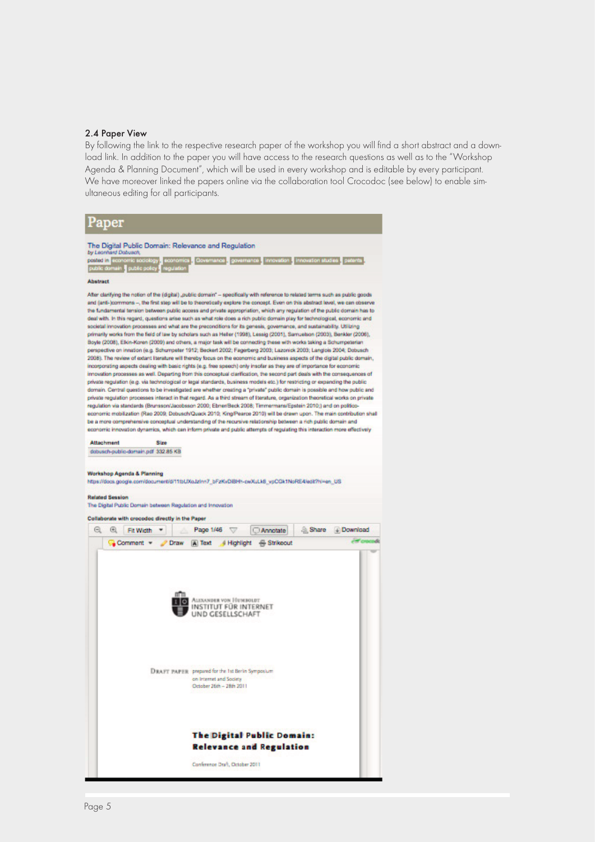#### 2.4 Paper View

By following the link to the respective research paper of the workshop you will find a short abstract and a download link. In addition to the paper you will have access to the research questions as well as to the "Workshop Agenda & Planning Document", which will be used in every workshop and is editable by every participant. We have moreover linked the papers online via the collaboration tool Crocodoc (see below) to enable simultaneous editing for all participants.

#### Paper

#### The Digital Public Domain: Relevance and Regulation

posted in **Lis** 1. Covern ince **y** gover ance innovation innovation studies patents public o

#### **Abstract**

After clarifying the notion of the (digital) "public domain" - specifically with reference to related terms such as public goods and (anti-)commons -, the first step will be to theoretically explore the concept. Even on this abstract level, we can observe the fundamental tension between public access and private appropriation, which any regulation of the public domain has to deal with. In this regard, questions arise such as what role does a rich public domain play for technological, economic and societal innovation processes and what are the preconditions for its genesis, governance, and sustainability. Utilizing primarily works from the field of law by scholars such as Heller (1998), Lessig (2001), Samuelson (2003), Benkler (2008), Boyle (2008), Elkin-Koren (2009) and others, a major task will be connecting these with works taking a Schumper pective on innation (e.g. Schumpeter 1912; Beckert 2002; Fagerberg 2003; Lazonick 2003; Langlois 2004; Dobusch 2008). The review of extent literature will thereby focus on the economic and business aspects of the digital public domain. incorporating aspects dealing with basic rights (e.g. free speech) only insofar as they are of importance for economic innovation processes as well. Departing from this conceptual clarification, the second part deals with the consequences of private regulation (e.g. via technological or legal standards, business models etc.) for restricting or expanding the public domain. Central questions to be investigated are whether creating a "private" public domain is possible and how public and private regulation processes interact in that regard. As a third stream of literature, organization theoretical works on private regulation via standards (Brunsson/Jacobsson 2000; EbnerBeck 2008; Timmermans/Epstein 2010;) and on politic economic mobilization (Rao 2009: Dobusch/Quack 2010: King/Pearce 2010) will be drawn upon. The main contribution shall be a more comprehensive conceptual understanding of the recursive relationship between a rich public domain and economic innovation dynamics, which can inform private and public attempts of regulating this interaction more effectively

**Attachment** Sing dobusch-public-domain.pdf 332.85 KB

#### Workshop Agenda & Planning

Mos //docs.goods.com/document/d/1191/Xn.blnn7\_bExKvDBN-k-wXuLkB\_vsCOx1NoRE4/w9/2Nuan\_UR

#### **Related Session**

The Digital Public Domain between Regulation and Innovation Collaborate with crocodoc directly in the Paper 

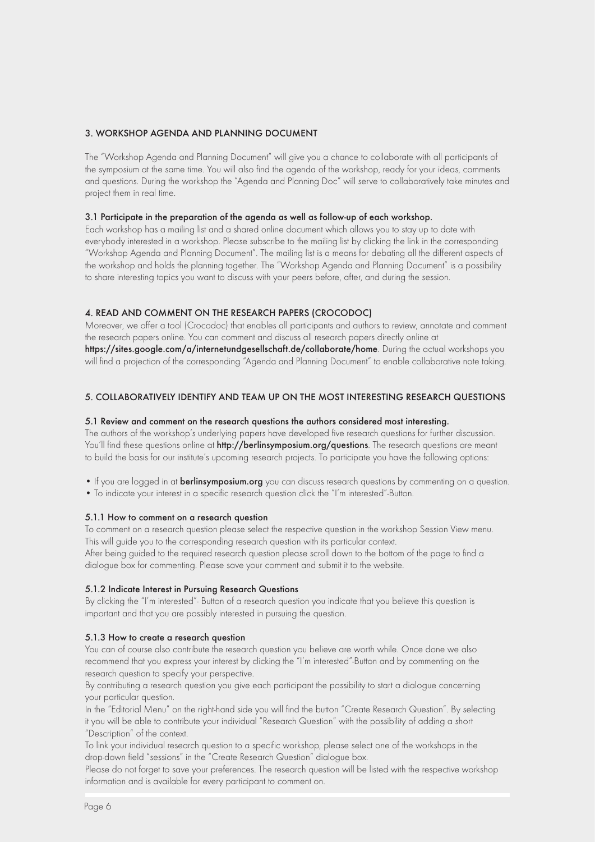#### 3. Workshop Agenda and Planning Document

The "Workshop Agenda and Planning Document" will give you a chance to collaborate with all participants of the symposium at the same time. You will also find the agenda of the workshop, ready for your ideas, comments and questions. During the workshop the "Agenda and Planning Doc" will serve to collaboratively take minutes and project them in real time.

#### 3.1 Participate in the preparation of the agenda as well as follow-up of each workshop.

Each workshop has a mailing list and a shared online document which allows you to stay up to date with everybody interested in a workshop. Please subscribe to the mailing list by clicking the link in the corresponding "Workshop Agenda and Planning Document". The mailing list is a means for debating all the different aspects of the workshop and holds the planning together. The "Workshop Agenda and Planning Document" is a possibility to share interesting topics you want to discuss with your peers before, after, and during the session.

#### 4. Read and Comment on the Research Papers (Crocodoc)

Moreover, we offer a tool (Crocodoc) that enables all participants and authors to review, annotate and comment the research papers online. You can comment and discuss all research papers directly online at https://sites.google.com/a/internetundgesellschaft.de/collaborate/home. During the actual workshops you will find a projection of the corresponding "Agenda and Planning Document" to enable collaborative note taking.

#### 5. Collaboratively Identify and Team Up on the Most Interesting Research Questions

#### 5.1 Review and comment on the research questions the authors considered most interesting.

The authors of the workshop's underlying papers have developed five research questions for further discussion. You'll find these questions online at http://berlinsymposium.org/questions. The research questions are meant to build the basis for our institute's upcoming research projects. To participate you have the following options:

- If you are logged in at **berlinsymposium.org** you can discuss research questions by commenting on a question.
- To indicate your interest in a specific research question click the "I'm interested"-Button.

#### 5.1.1 How to comment on a research question

To comment on a research question please select the respective question in the workshop Session View menu. This will guide you to the corresponding research question with its particular context.

After being guided to the required research question please scroll down to the bottom of the page to find a dialogue box for commenting. Please save your comment and submit it to the website.

#### 5.1.2 Indicate Interest in Pursuing Research Questions

By clicking the "I'm interested"- Button of a research question you indicate that you believe this question is important and that you are possibly interested in pursuing the question.

#### 5.1.3 How to create a research question

You can of course also contribute the research question you believe are worth while. Once done we also recommend that you express your interest by clicking the "I'm interested"-Button and by commenting on the research question to specify your perspective.

By contributing a research question you give each participant the possibility to start a dialogue concerning your particular question.

In the "Editorial Menu" on the right-hand side you will find the button "Create Research Question". By selecting it you will be able to contribute your individual "Research Question" with the possibility of adding a short "Description" of the context.

To link your individual research question to a specific workshop, please select one of the workshops in the drop-down field "sessions" in the "Create Research Question" dialogue box.

Please do not forget to save your preferences. The research question will be listed with the respective workshop information and is available for every participant to comment on.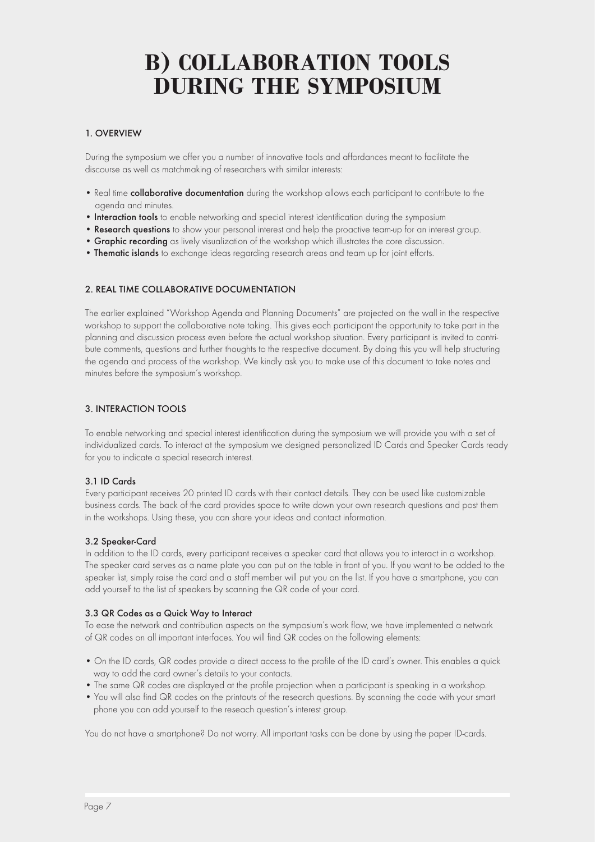## **B) COLLABORATION TOOLS during the Symposium**

#### 1. Overview

During the symposium we offer you a number of innovative tools and affordances meant to facilitate the discourse as well as matchmaking of researchers with similar interests:

- Real time collaborative documentation during the workshop allows each participant to contribute to the agenda and minutes.
- Interaction tools to enable networking and special interest identification during the symposium
- Research questions to show your personal interest and help the proactive team-up for an interest group.
- **Graphic recording** as lively visualization of the workshop which illustrates the core discussion.
- Thematic islands to exchange ideas regarding research areas and team up for joint efforts.

#### 2. Real Time Collaborative Documentation

The earlier explained "Workshop Agenda and Planning Documents" are projected on the wall in the respective workshop to support the collaborative note taking. This gives each participant the opportunity to take part in the planning and discussion process even before the actual workshop situation. Every participant is invited to contribute comments, questions and further thoughts to the respective document. By doing this you will help structuring the agenda and process of the workshop. We kindly ask you to make use of this document to take notes and minutes before the symposium's workshop.

#### 3. Interaction Tools

To enable networking and special interest identification during the symposium we will provide you with a set of individualized cards. To interact at the symposium we designed personalized ID Cards and Speaker Cards ready for you to indicate a special research interest.

#### 3.1 ID Cards

Every participant receives 20 printed ID cards with their contact details. They can be used like customizable business cards. The back of the card provides space to write down your own research questions and post them in the workshops. Using these, you can share your ideas and contact information.

#### 3.2 Speaker-Card

In addition to the ID cards, every participant receives a speaker card that allows you to interact in a workshop. The speaker card serves as a name plate you can put on the table in front of you. If you want to be added to the speaker list, simply raise the card and a staff member will put you on the list. If you have a smartphone, you can add yourself to the list of speakers by scanning the QR code of your card.

#### 3.3 QR Codes as a Quick Way to Interact

To ease the network and contribution aspects on the symposium's work flow, we have implemented a network of QR codes on all important interfaces. You will find QR codes on the following elements:

- On the ID cards, QR codes provide a direct access to the profile of the ID card's owner. This enables a quick way to add the card owner's details to your contacts.
- The same QR codes are displayed at the profile projection when a participant is speaking in a workshop.
- You will also find QR codes on the printouts of the research questions. By scanning the code with your smart phone you can add yourself to the reseach question's interest group.

You do not have a smartphone? Do not worry. All important tasks can be done by using the paper ID-cards.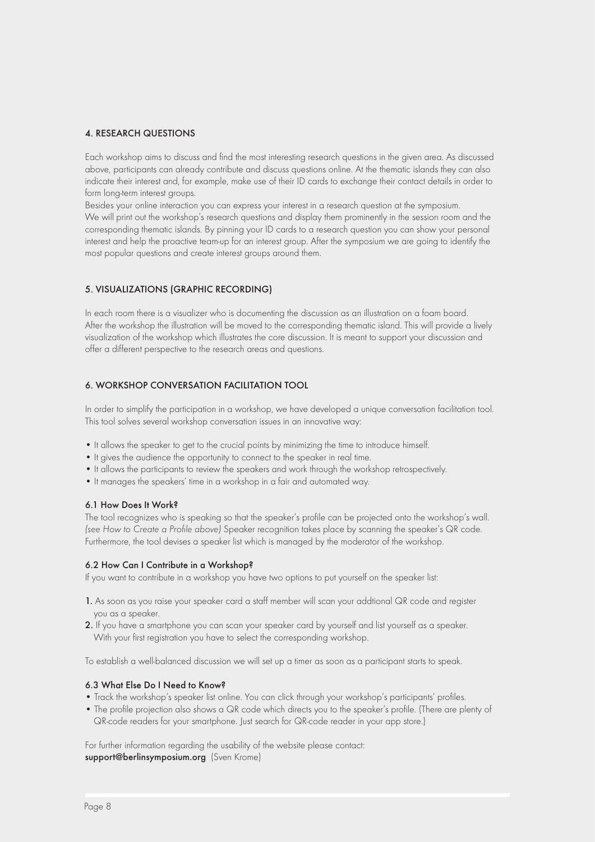#### 4. Research Questions

Each workshop aims to discuss and find the most interesting research questions in the given area. As discussed above, participants can already contribute and discuss questions online. At the thematic islands they can also indicate their interest and, for example, make use of their ID cards to exchange their contact details in order to form long-term interest groups.

Besides your online interaction you can express your interest in a research question at the symposium. We will print out the workshop's research questions and display them prominently in the session room and the corresponding thematic islands. By pinning your ID cards to a research question you can show your personal interest and help the proactive team-up for an interest group. After the symposium we are going to identify the most popular questions and create interest groups around them.

#### 5. Visualizations (Graphic Recording)

In each room there is a visualizer who is documenting the discussion as an illustration on a foam board. After the workshop the illustration will be moved to the corresponding thematic island. This will provide a lively visualization of the workshop which illustrates the core discussion. It is meant to support your discussion and offer a different perspective to the research areas and questions.

#### 6. Workshop Conversation Facilitation Tool

In order to simplify the participation in a workshop, we have developed a unique conversation facilitation tool. This tool solves several workshop conversation issues in an innovative way:

- It allows the speaker to get to the crucial points by minimizing the time to introduce himself.
- It gives the audience the opportunity to connect to the speaker in real time.
- It allows the participants to review the speakers and work through the workshop retrospectively.
- It manages the speakers' time in a workshop in a fair and automated way.

#### 6.1 How Does It Work?

The tool recognizes who is speaking so that the speaker's profile can be projected onto the workshop's wall. *(see How to Create a Profile above)* Speaker recognition takes place by scanning the speaker's QR code. Furthermore, the tool devises a speaker list which is managed by the moderator of the workshop.

#### 6.2 How Can I Contribute in a Workshop?

If you want to contribute in a workshop you have two options to put yourself on the speaker list:

- 1. As soon as you raise your speaker card a staff member will scan your addtional QR code and register you as a speaker.
- 2. If you have a smartphone you can scan your speaker card by yourself and list yourself as a speaker. With your first registration you have to select the corresponding workshop.

To establish a well-balanced discussion we will set up a timer as soon as a participant starts to speak.

#### 6.3 What Else Do I Need to Know?

- Track the workshop's speaker list online. You can click through your workshop's participants' profiles.
- The profile projection also shows a QR code which directs you to the speaker's profile. (There are plenty of QR-code readers for your smartphone. Just search for QR-code reader in your app store.)

For further information regarding the usability of the website please contact: support@berlinsymposium.org (Sven Krome)